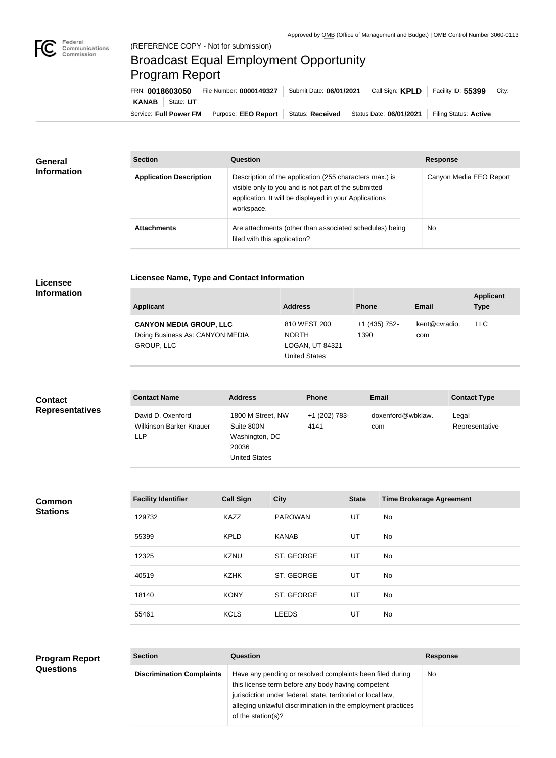

## Broadcast Equal Employment Opportunity Program Report

**Licensee Name, Type and Contact Information**

Service: Full Power FM Purpose: EEO Report | Status: Received | Status Date: 06/01/2021 | Filing Status: Active **KANAB** State: **UT** FRN: **0018603050** File Number: **0000149327** Submit Date: **06/01/2021** Call Sign: **KPLD** Facility ID: **55399** City:

| <b>General</b>     | <b>Section</b>                 | <b>Question</b>                                                                                                                                                                         | <b>Response</b>         |
|--------------------|--------------------------------|-----------------------------------------------------------------------------------------------------------------------------------------------------------------------------------------|-------------------------|
| <b>Information</b> | <b>Application Description</b> | Description of the application (255 characters max.) is<br>visible only to you and is not part of the submitted<br>application. It will be displayed in your Applications<br>workspace. | Canyon Media EEO Report |
|                    | <b>Attachments</b>             | Are attachments (other than associated schedules) being<br>filed with this application?                                                                                                 | No.                     |

## **Licensee Information**

| <b>Applicant</b>                                                                       | <b>Address</b>                                                   | <b>Phone</b>          | <b>Email</b>         | <b>Applicant</b><br><b>Type</b> |
|----------------------------------------------------------------------------------------|------------------------------------------------------------------|-----------------------|----------------------|---------------------------------|
| <b>CANYON MEDIA GROUP, LLC</b><br>Doing Business As: CANYON MEDIA<br><b>GROUP, LLC</b> | 810 WEST 200<br><b>NORTH</b><br>LOGAN, UT 84321<br>United States | +1 (435) 752-<br>1390 | kent@cvradio.<br>com | <b>LLC</b>                      |

| <b>Contact</b>         | <b>Contact Name</b>                                               | <b>Address</b>                                                                     | <b>Phone</b>          | <b>Email</b>             | <b>Contact Type</b>     |
|------------------------|-------------------------------------------------------------------|------------------------------------------------------------------------------------|-----------------------|--------------------------|-------------------------|
| <b>Representatives</b> | David D. Oxenford<br><b>Wilkinson Barker Knauer</b><br><b>LLP</b> | 1800 M Street, NW<br>Suite 800N<br>Washington, DC<br>20036<br><b>United States</b> | +1 (202) 783-<br>4141 | doxenford@wbklaw.<br>com | Legal<br>Representative |

**Common Stations**

| <b>Facility Identifier</b> | <b>Call Sign</b> | <b>City</b>    | <b>State</b> | <b>Time Brokerage Agreement</b> |
|----------------------------|------------------|----------------|--------------|---------------------------------|
| 129732                     | <b>KAZZ</b>      | <b>PAROWAN</b> | UT           | No                              |
| 55399                      | <b>KPLD</b>      | <b>KANAB</b>   | UT           | No                              |
| 12325                      | <b>KZNU</b>      | ST. GEORGE     | UT           | <b>No</b>                       |
| 40519                      | <b>KZHK</b>      | ST. GEORGE     | UT           | No                              |
| 18140                      | <b>KONY</b>      | ST. GEORGE     | UT           | <b>No</b>                       |
| 55461                      | <b>KCLS</b>      | <b>LEEDS</b>   | UT           | <b>No</b>                       |
|                            |                  |                |              |                                 |

| <b>Program Report</b> | <b>Section</b>                   | <b>Question</b>                                                                                                                                    | <b>Response</b> |
|-----------------------|----------------------------------|----------------------------------------------------------------------------------------------------------------------------------------------------|-----------------|
| <b>Questions</b>      | <b>Discrimination Complaints</b> | Have any pending or resolved complaints been filed during<br>this license term before any body having competent                                    | No.             |
|                       |                                  | jurisdiction under federal, state, territorial or local law,<br>alleging unlawful discrimination in the employment practices<br>of the station(s)? |                 |